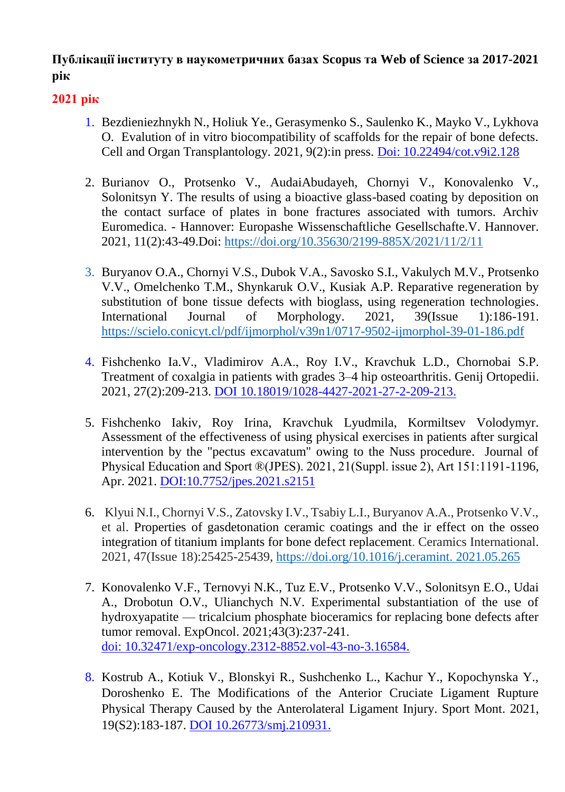# **Публікації інституту в наукометричних базах Scopus та Web of Science за 2017-2021 рік**

- 1. Bezdieniezhnykh N., Holiuk Ye., Gerasymenko S., Saulenko K., Mayko V., Lykhova O. Evalution of in vitro biocompatibility of scaffolds for the repair of bone defects. Cell and Organ Transplantology. 2021, 9(2):in press. Doi: 10.22494/cot.v9i2.128
- 2. Burianov O., Protsenko V., AudaiAbudayeh, Chornyi V., Konovalenko V., Solonitsyn Y. The results of using a bioactive glass-based coating by deposition on the contact surface of plates in bone fractures associated with tumors. Archiv Euromedica. - Hannover: Europashe Wissenschaftliche Gesellschafte.V. Hannover. 2021, 11(2):43-49.Doi:<https://doi.org/10.35630/2199-885X/2021/11/2/11>
- 3. Buryanov O.A., Chornyi V.S., Dubok V.A., Savosko S.I., Vakulych M.V., Protsenko V.V., Omelchenko T.M., Shynkaruk O.V., Kusiak A.P. Reparative regeneration by substitution of bone tissue defects with bioglass, using regeneration technologies. International Journal of Morphology. 2021, 39(Issue 1):186-191. <https://scielo.conicyt.cl/pdf/ijmorphol/v39n1/0717-9502-ijmorphol-39-01-186.pdf>
- 4. Fishchenko Ia.V., Vladimirov A.А., Roy I.V., Kravchuk L.D., Chornobai S.P. Treatment of coxalgia in patients with grades 3–4 hip osteoarthritis. Genij Ortopedii. 2021, 27(2):209-213. DOI 10.18019/1028-4427-2021-27-2-209-213.
- 5. Fishchenko Iakіv, Roy Irina, Kravchuk Lyudmila, Kormiltsev Volodymyr. Assessment of the effectiveness of using physical exercises in patients after surgical intervention by the "pectus excavatum" owing to the Nuss procedure. Journal of Physical Education and Sport ®(JPES). 2021, 21(Suppl. issue 2), Art 151:1191-1196, Apr. 2021. DOI:10.7752/jpes.2021.s2151
- 6. Klyui N.I., Chornyi V.S., Zatovsky I.V., Tsabiy L.I., Buryanov A.A., Protsenko V.V., et al. Properties of gasdetonation ceramic coatings and the ir effect on the osseo integration of titanium implants for bone defect replacement. Ceramics International. 2021, 47(Issue 18):25425-25439, [https://doi.org/10.1016/j.ceramint. 2021.05.265](https://doi.org/10.1016/j.ceramint.%202021.05.265)
- 7. Konovalenko V.F., Ternovyi N.K., Tuz E.V., Protsenko V.V., Solonitsyn E.O., Udai A., Drobotun O.V., Ulianchych N.V. Experimental substantiation of the use of hydroxyapatite — tricalcium phosphate bioceramics for replacing bone defects after tumor removal. ExpOncol. 2021;43(3):237-241. doi: 10.32471/exp-oncology.2312-8852.vol-43-no-3.16584.
- 8. Kostrub A., Kotiuk V., Blonskyi R., Sushchenko L., Kachur Y., Kopochynska Y., Doroshenko E. The Modifications of the Anterior Cruciate Ligament Rupture Physical Therapy Caused by the Anterolateral Ligament Injury. Sport Mont. 2021, 19(S2):183-187. DOI 10.26773/smj.210931.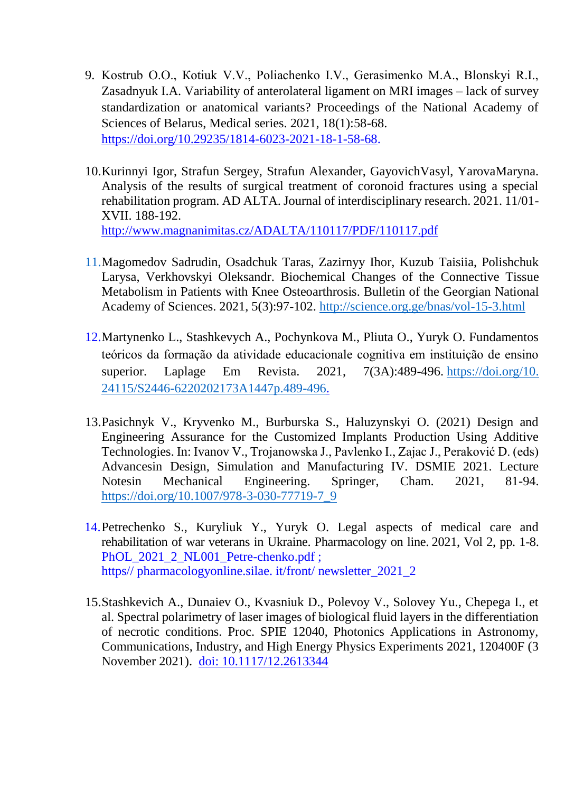- 9. Kostrub O.O., Кotiuk V.V., Poliachenko I.V., Gerasimenko M.A., Blonskyi R.I., Zasadnyuk I.A. Variability of anterolateral ligament on MRI images – lack of survey standardization or anatomical variants? Proceedings of the National Academy of Sciences of Belarus, Medical series. 2021, 18(1):58-68. [https://doi.org/10.29235/1814-6023-2021-18-1-58-68.](https://doi.org/10.29235/1814-6023-2021-18-1-58-68)
- 10.Kurinnyi Igor, Strafun Sergey, Strafun Alexander, GayovichVasyl, YarovaMaryna. Analysis of the results of surgical treatment of coronoid fractures using a special rehabilitation program. AD ALTA. Journal of interdisciplinary research. 2021. 11/01- XVII. 188-192. <http://www.magnanimitas.cz/ADALTA/110117/PDF/110117.pdf>
- 11.Magomedov Sadrudin, Osadchuk Taras, Zazirnyy Ihor, Kuzub Taisiia, Polishchuk Larysa, Verkhovskyi Oleksandr. Biochemical Changes of the Connective Tissue Metabolism in Patients with Knee Osteoarthrosis. Bulletin of the Georgian National Academy of Sciences. 2021, 5(3):97-102.<http://science.org.ge/bnas/vol-15-3.html>
- 12.Martynenko L., Stashkevych A., Pochynkova M., Pliuta O., Yuryk O. Fundamentos teóricos da formação da atividade educacionale cognitiva em instituição de ensino superior. Laplage Em Revista. 2021, 7(3A):489-496. [https://doi.org/10.](https://doi.org/10.%2024115/S2446-6220202173A1447p.489-496)  [24115/S2446-6220202173A1447p.489-496.](https://doi.org/10.%2024115/S2446-6220202173A1447p.489-496)
- 13.Pasichnyk V., Kryvenko M., Burburska S., Haluzynskyi O. (2021) Design and Engineering Assurance for the Customized Implants Production Using Additive Technologies. In: Ivanov V., Trojanowska J., Pavlenko I., Zajac J., Peraković D. (eds) Advancesin Design, Simulation and Manufacturing IV. DSMIE 2021. Lecture Notesin Mechanical Engineering. Springer, Cham. 2021, 81-94. [https://doi.org/10.1007/978-3-030-77719-7\\_9](https://doi.org/10.1007/978-3-030-77719-7_9)
- 14.Petrechenko S., Kuryliuk Y., Yuryk O. Legal aspects of medical care and rehabilitation of war veterans in Ukraine. Pharmacology on line. 2021, Vol 2, pp. 1-8. PhOL\_2021\_2\_NL001\_Petre-chenko.pdf; https// [pharmacologyonline.silae. it/front/ newsletter\\_2021\\_2](http://pharmacologyonline.silae.it/front/newsletter_2021_2)
- 15.Stashkevich A., Dunaiev O., Kvasniuk D., Polevoy V., Solovey Yu., Chepega I., et al. Spectral polarimetry of laser images of biological fluid layers in the differentiation of necrotic conditions. Proc. SPIE 12040, Photonics Applications in Astronomy, Communications, Industry, and High Energy Physics Experiments 2021, 120400F (3 November 2021). doi: 10.1117/12.2613344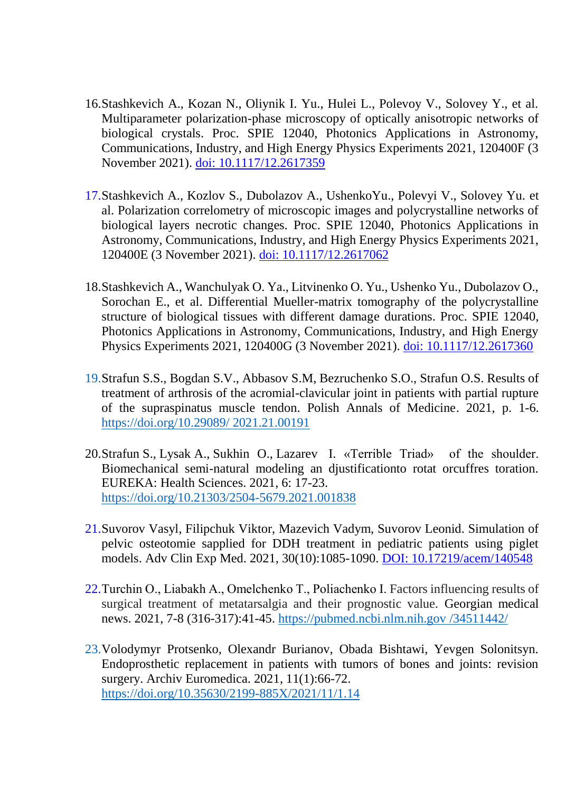- 16.Stashkevich A., Kozan N., Oliynik I. Yu., Hulei L., Polevoy V., Solovey Y., et al. Multiparameter polarization-phase microscopy of optically anisotropic networks of biological crystals. Proc. SPIE 12040, Photonics Applications in Astronomy, Communications, Industry, and High Energy Physics Experiments 2021, 120400F (3 November 2021). doi: 10.1117/12.2617359
- 17.Stashkevich A., Kozlov S., Dubolazov A., UshenkoYu., Polevyi V., Solovey Yu. et al. Polarization correlometry of microscopic images and polycrystalline networks of biological layers necrotic changes. Proc. SPIE 12040, Photonics Applications in Astronomy, Communications, Industry, and High Energy Physics Experiments 2021, 120400E (3 November 2021). doi: 10.1117/12.2617062
- 18.Stashkevich A., Wanchulyak O. Ya., Litvinenko O. Yu., Ushenko Yu., Dubolazov O., Sorochan E., et al. Differential Mueller-matrix tomography of the polycrystalline structure of biological tissues with different damage durations. Proc. SPIE 12040, Photonics Applications in Astronomy, Communications, Industry, and High Energy Physics Experiments 2021, 120400G (3 November 2021). doi: 10.1117/12.2617360
- 19.Strafun S.S., Bogdan S.V., Abbasov S.M, Bezruchenko S.O., Strafun O.S. Results of treatment of arthrosis of the acromial-clavicular joint in patients with partial rupture of the supraspinatus muscle tendon. Polish Annals of Medicine. 2021, p. 1-6. [https://doi.org/10.29089/](https://doi.org/10.29089/%202021.21.00191) 2021.21.00191
- 20.Strafun S., Lysak A., Sukhin O., Lazarev I. «Terrible Triad» of the shoulder. Biomechanical semi-natural modeling an djustificationto rotat orcuffres toration. EUREKA: Health Sciences. 2021, 6: 17-23. <https://doi.org/10.21303/2504-5679.2021.001838>
- 21.Suvorov Vasyl, Filipchuk Viktor, Mazevich Vadym, Suvorov Leonid. Simulation of pelvic osteotomie sapplied for DDH treatment in pediatric patients using piglet models. Adv Clin Exp Med. 2021, 30(10):1085-1090. DOI: [10.17219/acem/140548](https://doi.org/10.17219/acem/140548)
- 22.Turchin O., Lіabakh A., Omelchenko T., Poliachenko I. Factors influencing results of surgical treatment of metatarsalgia and their prognostic value. Georgian medical news. 2021, 7-8 (316-317):41-45. https://pubmed.ncbi.nlm.nih.gov /34511442/
- 23.Volodymyr Protsenko, Olexandr Burianov, Obada Bishtawi, Yevgen Solonitsyn. Endoprosthetic replacement in patients with tumors of bones and joints: revision surgery. Archiv Euromedica. 2021, 11(1):66-72. <https://doi.org/10.35630/2199-885X/2021/11/1.14>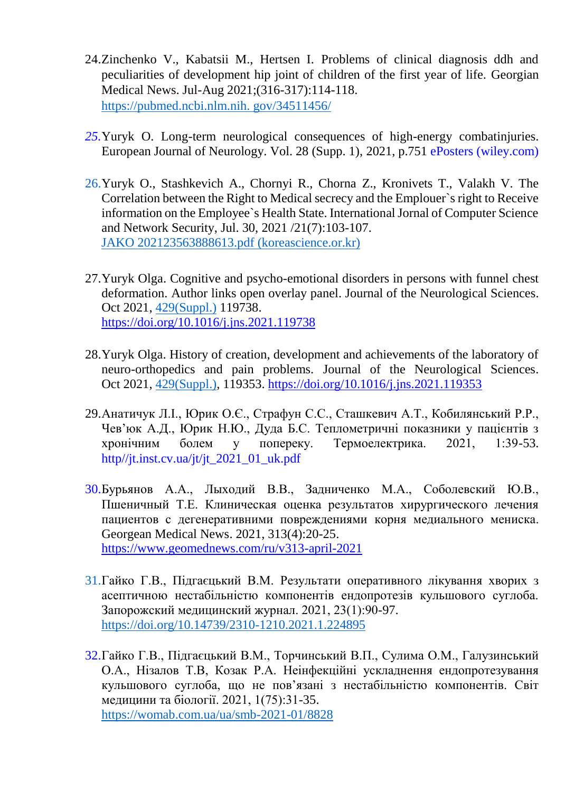- 24.Zinchenko V., Kabatsii M., Hertsen I. Problems of clinical diagnosis ddh and peculiarities of development hip joint of children of the first year of life. Georgian Medical News. Jul-Aug 2021;(316-317):114-118. https://pubmed.ncbi.nlm.nih. gov/34511456/
- *25.*Yuryk O. Long-term neurological consequences of high-energy combatinjuries. European Journal of Neurology. Vol. 28 (Supp. 1), 2021, p.751 [ePosters \(wiley.com\)](https://onlinelibrary.wiley.com/doi/epdf/10.1111/ene.14975)
- 26.Yuryk O., Stashkevich A., Chornyi R., Chorna Z., Kronivets T., Valakh V. The Correlation between the Right to Medical secrecy and the Emplouer`s right to Receive information on the Employee`s Health State. International Jornal of Computer Science and Network Security, Jul. 30, 2021 /21(7):103-107. [JAKO 202123563888613.pdf \(koreascience.or.kr\)](https://www.koreascience.or.kr/article/JAKO202123563888613.pdf)
- 27[.Yuryk](https://www.sciencedirect.com/science/article/abs/pii/S0022510X21024345#!) Olga. Cognitive and psycho-emotional disorders in persons with funnel chest deformation. Author links open overlay panel. [Journal of the Neurological Sciences.](https://www.sciencedirect.com/science/journal/0022510X) Oct 2021, [429\(Suppl.\)](file:///H:/Patent/Desktop/429(Suppl.)) 119738. <https://doi.org/10.1016/j.jns.2021.119738>
- 28[.Yuryk](https://www.sciencedirect.com/science/article/abs/pii/S0022510X21024345#!) Olga. History of creation, development and achievements of the laboratory of neuro-orthopedics and pain problems. [Journal of the Neurological Sciences.](https://www.sciencedirect.com/science/journal/0022510X) Oct 2021, [429\(Suppl.\),](file:///H:/Patent/Desktop/429(Suppl.)) 119353.<https://doi.org/10.1016/j.jns.2021.119353>
- 29.Анатичук Л.І., Юрик О.Є., Страфун С.С., Сташкевич А.Т., Кобилянський Р.Р., Чев'юк А.Д., Юрик Н.Ю., Дуда Б.С. Теплометричні показники у пацієнтів з хронічним болем у попереку. Термоелектрика. 2021, 1:39-53. http//jt.inst.cv.ua/jt/jt\_2021\_01\_uk.pdf
- 30.Бурьянов А.А., Лыходий В.В., Задниченко М.А., Соболевский Ю.В., Пшеничный Т.Е. Клиническая оценка результатов хирургического лечения пациентов с дегенеративними повреждениями корня медиального мениска. Georgean Medical News. 2021, 313(4):20-25. https://www.geomednews.com/ru/v313-april-2021
- 31.Гайко Г.В., Підгаєцький В.М. Результати оперативного лікування хворих з асептичною нестабільністю компонентів ендопротезів кульшового суглоба. Запорожский медицинский журнал. 2021, 23(1):90-97. <https://doi.org/10.14739/2310-1210.2021.1.224895>
- 32.Гайко Г.В., Підгаєцький В.М., Торчинський В.П., Сулима О.М., Галузинський О.А., Нізалов Т.В, Козак Р.А. Неінфекційні ускладнення ендопротезування кульшового суглоба, що не пов'язані з нестабільністю компонентів. Світ медицини та біології. 2021, 1(75):31-35. <https://womab.com.ua/ua/smb-2021-01/8828>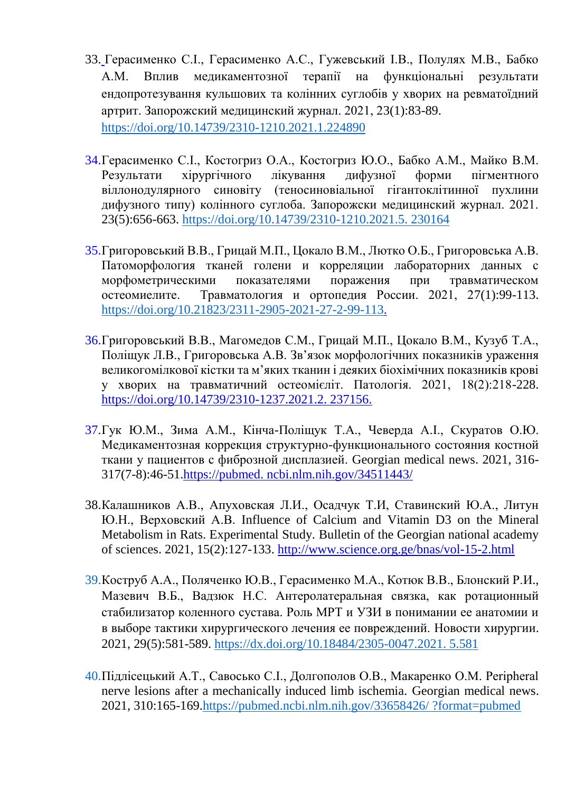- 33. Герасименко С.І., Герасименко А.С., Гужевський І.В., Полулях М.В., Бабко А.М. Вплив медикаментозної терапії на функціональні результати ендопротезування кульшових та колінних суглобів у хворих на ревматоїдний артрит. Запорожский медицинский журнал. 2021, 23(1):83-89. <https://doi.org/10.14739/2310-1210.2021.1.224890>
- 34.Герасименко С.І., Костогриз О.А., Костогриз Ю.О., Бабко А.М., Майко В.М. Результати хірургічного лікування дифузної форми пігментного віллонодулярного синовіту (теносиновіальної гігантоклітинної пухлини дифузного типу) колінного суглоба. Запорожски медицинский журнал. 2021. 23(5):656-663. [https://doi.org/10.14739/2310-1210.2021.5.](https://doi.org/10.14739/2310-1210.2021.5.%20230164) 230164
- 35.Григоровський В.В., Грицай М.П., Цокало В.М., Лютко О.Б., Григоровська А.В. Патоморфология тканей голени и корреляции лабораторних данных с морфометрическими показателями поражения при травматическом остеомиелите. Травматология и ортопедия России. 2021, 27(1):99-113. [https://doi.org/10.21823/2311-2905-2021-27-2-99-113.](https://doi.org/10.21823/2311-2905-2021-27-2-99-113)
- 36.Григоровський В.В., Магомедов С.М., Грицай М.П., Цокало В.М., Кузуб Т.А., Поліщук Л.В., Григоровська А.В. Зв'язок морфологічних показників ураження великогомілкової кістки та м'яких тканин і деяких біохімічних показників крові у хворих на травматичний остеомієліт. Патологія. 2021, 18(2):218-228. [https://doi.org/10.14739/2310-1237.2021.2. 237156.](https://doi.org/10.14739/2310-1237.2021.2.%20237156)
- 37.Гук Ю.М., Зима А.М., Кінча-Поліщук Т.А., Чеверда А.І., Скуратов О.Ю. Медикаментозная коррекция структурно-функционального состояния костной ткани у пациентов с фиброзной дисплазией. Georgian medical news. 2021, 316- 317(7-8):46-51.https://pubmed. ncbi.nlm.nih.gov/34511443/
- 38.Калашников А.В., Апуховская Л.И., Осадчук Т.И, Ставинский Ю.А., Литун Ю.Н., Верховский А.В. Influence of Calcium and Vitamin D3 on the Mineral Metabolism in Rats. Experimental Study. Bulletin of the Georgian national academy of sciences. 2021, 15(2):127-133. http://www[.science.org.ge/bnas/vol-15-2.html](http://science.org.ge/bnas/vol-15-2.html)
- 39.Коструб А.А., Поляченко Ю.В., Герасименко М.А., Котюк В.В., Блонский Р.И., Мазевич В.Б., Вадзюк Н.С. Антеролатеральная связка, как ротационный стабилизатор коленного сустава. Роль МРТ и УЗИ в понимании ее анатомии и в выборе тактики хирургического лечения ее повреждений. Новости хирургии. 2021, 29(5):581-589. [https://dx.doi.org/10.18484/2305-0047.2021. 5.581](https://dx.doi.org/10.18484/2305-0047.2021.%205.581)
- 40.Підлісецький А.Т., Савосько С.І., Долгополов О.В., Макаренко О.М. Рeripheral nerve lesions after a mechanically induced limb ischemia. Georgian medical news. 2021, 310:165-169[.https://pubmed.ncbi.nlm.nih.gov/33658426/ ?format=pubmed](https://pubmed.ncbi.nlm.nih.gov/33658426/%20?format=pubmed)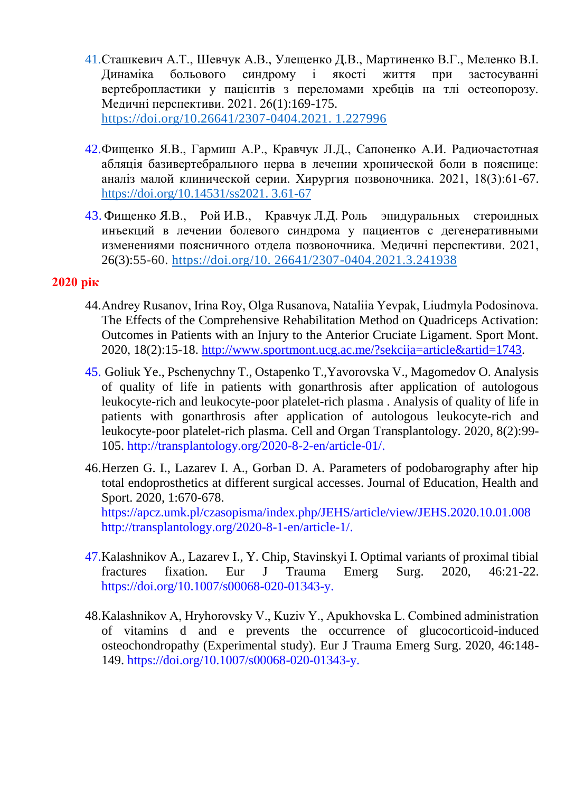- 41.Сташкевич А.Т., Шевчук А.В., Улещенко Д.В., Мартиненко В.Г., Меленко В.І. Динаміка больового синдрому і якості життя при застосуванні вертебропластики у пацієнтів з переломами хребців на тлі остеопорозу. Медичні перспективи. 2021. 26(1):169-175. [https://doi.org/10.26641/2307-0404.2021. 1.227996](https://doi.org/10.26641/2307-0404.2021.%201.227996)
- 42.Фищенко Я.В., Гармиш А.Р., Кравчук Л.Д., Сапоненко А.И. Радиочастотная абляція базивертебрального нерва в лечении хронической боли в пояснице: аналіз малой клинической серии. Хирургия позвоночника. 2021, 18(3):61-67. [https://doi.org/10.14531/ss2021. 3.61-67](https://doi.org/10.14531/ss2021.%203.61-67)
- 43. Фищенко Я.В., Рой И.В., Кравчук Л.Д. Роль эпидуральных стероидных инъекций в лечении болевого синдрома у пациентов с дегенеративными изменениями поясничного отдела позвоночника. Медичні перспективи. 2021, 26(3):55-60. [https://doi.org/10. 26641/2307-0404.2021.3.241938](https://doi.org/10.%2026641/2307-0404.2021.3.241938)

- 44.Andrey Rusanov, Irina Roy, Оlga Rusanova, Nataliia Yevpak, Liudmyla Podosinova. The Effects of the Comprehensive Rehabilitation Method on Quadriceps Activation: Outcomes in Patients with an Injury to the Anterior Cruciate Ligament. Sport Mont. 2020, 18(2):15-18. [http://www.sportmont.ucg.ac.me/?sekcija=article&artid=1743.](http://www.sportmont.ucg.ac.me/?sekcija=article&artid=1743)
- 45. Goliuk Ye., Pschenychny T., Ostapenko T.,Yavorovska V., Magomedov O. Analysis of quality of life in patients with gonarthrosis after application of autologous leukocyte-rich and leukocyte-poor platelet-rich plasma . Analysis of quality of life in patients with gonarthrosis after application of autologous leukocyte-rich and leukocyte-poor platelet-rich plasma. Cell and Organ Transplantology. 2020, 8(2):99- 105. [http://transplantology.org/2020-8-2-en/article-01/.](http://transplantology.org/2020-8-2-en/article-01/)
- 46.Herzen G. I., Lazarev I. A., Gorban D. A. Parameters of podobarography after hip total endoprosthetics at different surgical accesses. Journal of Education, Health and Sport. 2020, 1:670-678. <https://apcz.umk.pl/czasopisma/index.php/JEHS/article/view/JEHS.2020.10.01.008> [http://transplantology.org/2020-8-1-en/article-1/.](http://transplantology.org/2020-8-1-en/article-1/)
- 47.Kalashnikov A., Lazarev I., Y. Chip, Stavinskyi I. Optimal variants of proximal tibial fractures fixation. Eur J Trauma Emerg Surg. 2020, 46:21-22. [https://doi.org/10.1007/s00068-020-01343-y.](https://doi.org/10.1007/s00068-020-01343-y)
- 48.Kalashnikov А, Hryhorovsky V., Kuziv Y., Apukhovska L. Combined administration of vitamins d and e prevents the occurrence of glucocorticoid-induced osteochondropathy (Experimental study). Eur J Trauma Emerg Surg. 2020, 46:148- 149. [https://doi.org/10.1007/s00068-020-01343-y.](https://doi.org/10.1007/s00068-020-01343-y)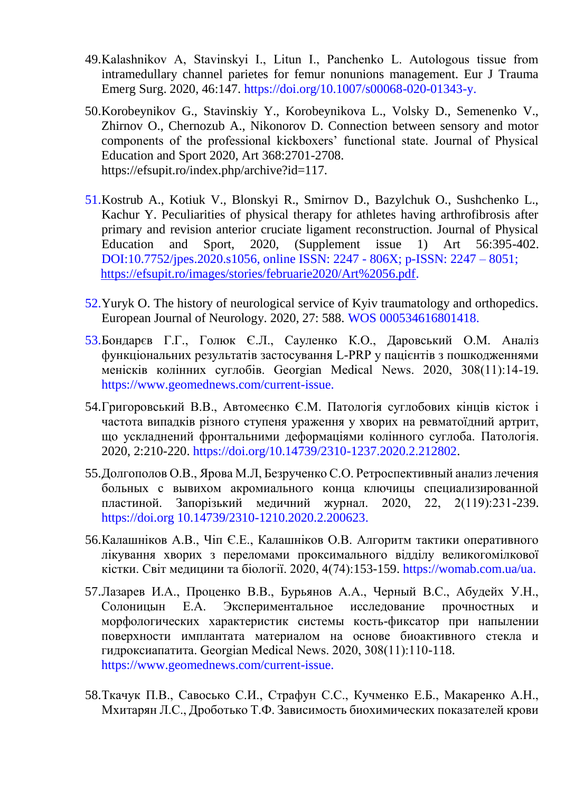- 49.Kalashnikov А, Stavinskyi I., Litun I., Panchenko L. Autologous tissue from intramedullary channel parietes for femur nonunions management. Eur J Trauma Emerg Surg. 2020, 46:147. [https://doi.org/10.1007/s00068-020-01343-y.](https://doi.org/10.1007/s00068-020-01343-y)
- 50.Korobeynikov G., Stavinskiy Y., Korobeynikova L., Volsky D., Semenenko V., Zhirnov O., Chernozub A., Nikonorov D. Connection between sensory and motor components of the professional kickboxers' functional state. Journal of Physical Education and Sport 2020, Art 368:2701-2708. https://efsupit.ro/index.php/archive?id=117.
- 51.Kostrub A., Kotiuk V., Blonskyi R., Smirnov D., Bazylchuk O., Sushchenko L., Kachur Y. Peculiarities of physical therapy for athletes having arthrofibrosis after primary and revision anterior cruciate ligament reconstruction. Journal of Physical Education and Sport, 2020, (Supplement issue 1) Art 56:395-402. DOI:10.7752/jpes.2020.s1056, online ISSN: 2247 - 806X; p-ISSN: 2247 – 8051; [https://efsupit.ro/images/stories/februarie2020/Art%2056.pdf.](https://efsupit.ro/images/stories/februarie2020/Art%2056.pdf)
- 52.Yuryk O. The history of neurological service of Kyiv traumatology and orthopedics. European Journal of Neurology. 2020, 27: 588. WOS 000534616801418.
- 53.Бондарєв Г.Г., Голюк Є.Л., Сауленко К.О., Даровський О.М. Аналіз функціональних результатів застосування L-PRP у пацієнтів з пошкодженнями менісків колінних суглобів. Georgian Medical News. 2020, 308(11):14-19. https://www.geomednews.com/current-issue.
- 54.Григоровський В.В., Автомеєнко Є.М. Патологія суглобових кінців кісток і частота випадків різного ступеня ураження у хворих на ревматоїдний артрит, що ускладнений фронтальними деформаціями колінного суглоба. Патологія. 2020, 2:210-220. https://doi.org/10.14739/2310-1237.2020.2.212802.
- 55.Долгополов О.В., Ярова М.Л, Безрученко С.О. Ретроспективный анализ лечения больных с вывихом акромиального конца ключицы специализированной пластиной. Запорізький медичний журнал. 2020, 22, 2(119):231-239. [https://doi.org 10.14739/2310-1210.2020.2.200623.](https://doi.org/10.14739/2310-1210.2020.2.200623)
- 56.Калашніков А.В., Чіп Є.Е., Калашніков О.В. Алгоритм тактики оперативного лікування хворих з переломами проксимального відділу великогомілкової кістки. Світ медицини та біології. 2020, 4(74):153-159. [https://womab.com.ua/ua.](https://womab.com.ua/ua)
- 57.Лазарев И.А., Проценко В.В., Бурьянов А.А., Черный В.С., Абудейх У.Н., Солоницын Е.А. Экспериментальное исследование прочностных и морфологических характеристик системы кость-фиксатор при напылении поверхности имплантата материалом на основе биоактивного стекла и гидроксиапатита. Georgian Medical News. 2020, 308(11):110-118. [https://www.geomednews.com/current-issue.](https://www.geomednews.com/current-issue)
- 58.Ткачук П.В., Савосько С.И., Страфун С.С., Кучменко Е.Б., Макаренко А.Н., Мхитарян Л.С., Дроботько Т.Ф. Зависимость биохимических показателей крови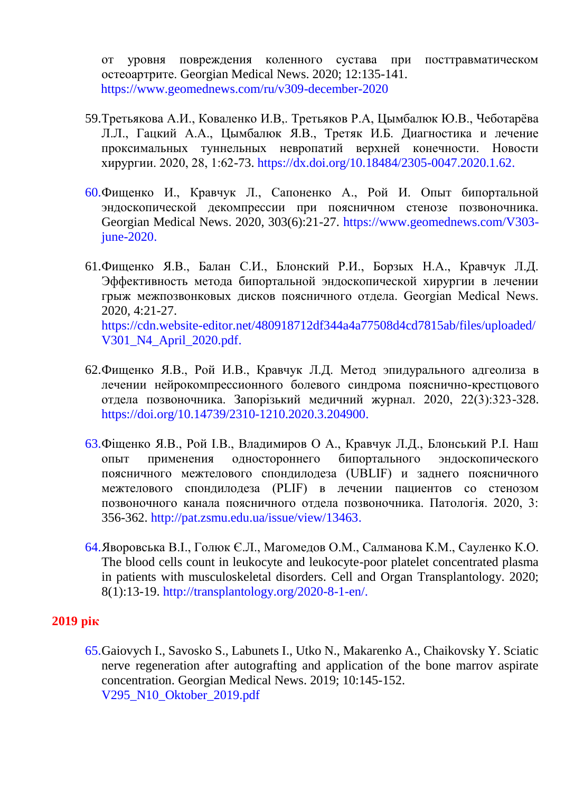от уровня повреждения коленного сустава при посттравматическом остеоартрите. Georgian Medical News. 2020; 12:135-141. https://www.geomednews.com/ru/v309-december-2020

- 59.Третьякова А.И., Коваленко И.В,. Третьяков Р.А, Цымбалюк Ю.В., Чеботарёва Л.Л., Гацкий А.А., Цымбалюк Я.В., Третяк И.Б. Диагностика и лечение проксимальных туннельных невропатий верхней конечности. Новости хирургии. 2020, 28, 1:62-73. [https://dx.doi.org/10.18484/2305-0047.2020.1.62.](https://dx.doi.org/10.18484/2305-0047.2020.1.62)
- 60.Фищенко И., Кравчук Л., Сапоненко А., Рой И. Опыт бипортальной эндоскопической декомпрессии при поясничном стенозе позвоночника. Georgian Medical News. 2020, 303(6):21-27. [https://www.geomednews.com/V303](https://www.geomednews.com/V303-june-2020) [june-2020.](https://www.geomednews.com/V303-june-2020)
- 61.Фищенко Я.В., Балан С.И., Блонский Р.И., Борзых Н.А., Кравчук Л.Д. Эффективность метода бипортальной эндоскопической хирургии в лечении грыж межпозвонковых дисков поясничного отдела. Georgian Medical News. 2020, 4:21-27. [https://cdn.website-editor.net/480918712df344a4a77508d4cd7815ab/files/uploaded/](https://cdn.website-editor.net/480918712df344a4a77508d4cd7815ab/files/uploaded/%20V301_N4_April_2020.pdf)  [V301\\_N4\\_April\\_2020.pdf.](https://cdn.website-editor.net/480918712df344a4a77508d4cd7815ab/files/uploaded/%20V301_N4_April_2020.pdf)
- 62.Фищенко Я.В., Рой И.В., Кравчук Л.Д. Метод эпидурального адгеолиза в лечении нейрокомпрессионного болевого синдрома пояснично-крестцового отдела позвоночника. Запорізький медичний журнал. 2020, 22(3):323-328. [https://doi.org/10.14739/2310-1210.2020.3.204900.](https://doi.org/10.14739/2310-1210.2020.3.204900)
- 63.Фіщенко Я.В., Рой І.В., Владимиров О А., Кравчук Л.Д., Блонський Р.І. Наш опыт применения одностороннего бипортального эндоскопического поясничного межтелового спондилодеза (UBLIF) и заднего поясничного межтелового спондилодеза (PLIF) в лечении пациентов со стенозом позвоночного канала поясничного отдела позвоночника. Патологія. 2020, 3: 356-362. [http://pat.zsmu.edu.ua/issue/view/13463.](http://pat.zsmu.edu.ua/issue/view/13463)
- 64.Яворовська В.І., Голюк Є.Л., Магомедов О.М., Салманова К.М., Сауленко К.О. The blood cells count in leukocyte and leukocyte-poor platelet concentrated plasma in patients with musculoskeletal disorders. Cell and Organ Transplantology. 2020; 8(1):13-19. http://transplantology.org/2020-8-1-en/.

#### **2019 рік**

65.Gaiovych I., Savosko S., Labunets I., Utko N., Makarenko A., Chaikovsky Y. Sciatic nerve regeneration after autografting and application of the bone marrov aspirate concentration. Georgian Medical News. 2019; 10:145-152. V295\_N10\_Oktober\_2019.pdf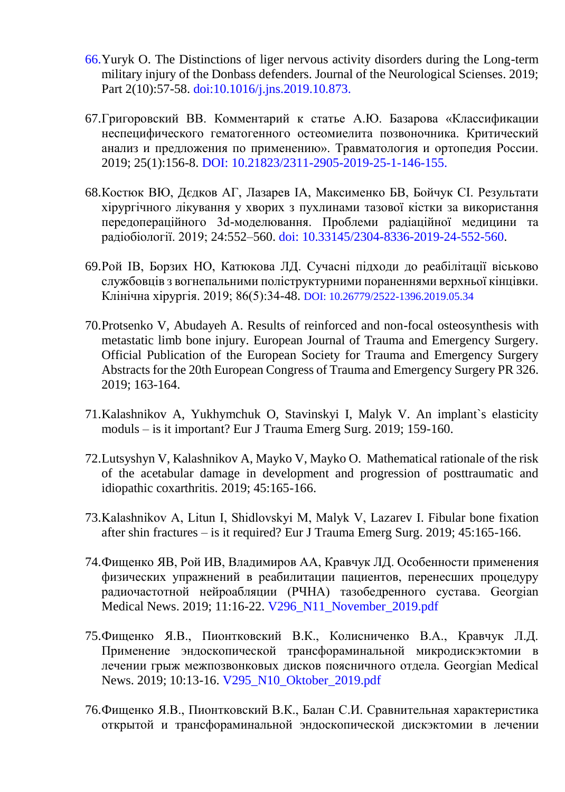- 66.Yuryk O. The Distinctions of liger nervous activity disorders during the Long-term military injury of the Donbass defenders. Journal of the Neurological Scienses. 2019; Part 2(10):57-58. doi:10.1016/j.jns.2019.10.873.
- 67.Григоровский ВВ. Комментарий к статье А.Ю. Базарова «Классификации неспецифического гематогенного остеомиелита позвоночника. Критический анализ и предложения по применению». Травматология и ортопедия России. 2019; 25(1):156-8. DOI: 10.21823/2311-2905-2019-25-1-146-155.
- 68.Костюк ВЮ, Дєдков АГ, Лазарев ІА, Максименко БВ, Бойчук СІ. Результати хірургічного лікування у хворих з пухлинами тазової кістки за використання передопераційного 3d-моделювання. Проблеми радіаційної медицини та радіобіології. 2019; 24:552–560. doi: 10.33145/2304-8336-2019-24-552-560.
- 69.Рой ІВ, Борзих НО, Катюкова ЛД. Сучасні підходи до реабілітації віськово службовців з вогнепальними поліструктурними пораненнями верхньої кінцівки. Клінічна хірургія. 2019; 86(5):34-48. DOI: 10.26779/2522-1396.2019.05.34
- 70.Protsenko V, Abudayeh A. Results of reinforced and non-focal osteosynthesis with metastatic limb bone injury. European Journal of Trauma and Emergency Surgery. Official Publication of the European Society for Trauma and Emergency Surgery Abstracts for the 20th European Congress of Trauma and Emergency Surgery PR 326. 2019; 163-164.
- 71.Kalashnikov A, Yukhymchuk O, Stavinskyi I, Malyk V. An implant`s elasticity moduls – is it important? Eur J Trauma Emerg Surg. 2019; 159-160.
- 72.Lutsyshyn V, Kalashnikov A, Mayko V, Mayko O. Mathematical rationale of the risk of the acetabular damage in development and progression of posttraumatic and idiopathic coxarthritis. 2019; 45:165-166.
- 73.Kalashnikov A, Litun І, Shidlovskyi M, Malyk V, Lazarev I. Fibular bone fixation after shin fractures – is it required? Eur J Trauma Emerg Surg. 2019; 45:165-166.
- 74.Фищенко ЯВ, Рой ИВ, Владимиров АА, Кравчук ЛД. Особенности применения физических упражнений в реабилитации пациентов, перенесших процедуру радиочастотной нейроабляции (РЧНА) тазобедренного сустава. Georgian Medical News. 2019; 11:16-22. V296\_N11\_November\_2019.pdf
- 75.Фищенко Я.В., Пионтковский В.К., Колисниченко В.А., Кравчук Л.Д. Применение эндоскопической трансфораминальной микродискэктомии в лечении грыж межпозвонковых дисков поясничного отдела. Georgian Medical News. 2019; 10:13-16. V295\_N10\_Oktober\_2019.pdf
- 76.Фищенко Я.В., Пионтковский В.К., Балан С.И. Сравнительная характеристика открытой и трансфораминальной эндоскопической дискэктомии в лечении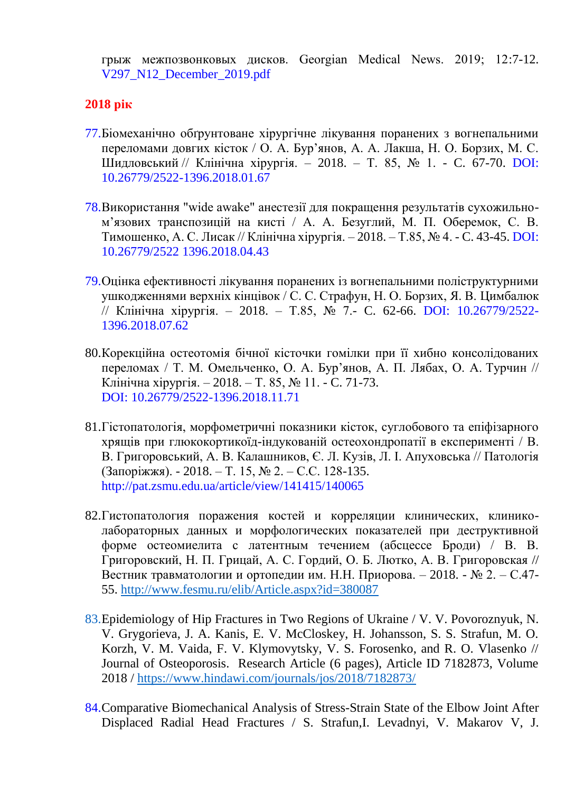грыж межпозвонковых дисков. Georgian Medical News. 2019; 12:7-12. V297\_N12\_December\_2019.pdf

- 77.Біомеханічно обґрунтоване хірургічне лікування поранених з вогнепальними переломами довгих кісток / О. А. Бур'янов, А. А. Лакша, Н. О. Борзих, М. С. Шидловський // Клінічна хірургія. – 2018. – Т. 85, № 1. - C. 67-70. DOI: 10.26779/2522-1396.2018.01.67
- 78.Використання "wide awake" анестезії для покращення результатів сухожильном'язових транспозицій на кисті / А. А. Безуглий, М. П. Оберемок, С. В. Тимошенко, А. С. Лисак // Клінічна хірургія. – 2018. – Т.85, № 4. - C. 43-45. DOI: 10.26779/2522 1396.2018.04.43
- 79.Оцінка ефективності лікування поранених із вогнепальними поліструктурними ушкодженнями верхніх кінцівок / С. С. Страфун, Н. О. Борзих, Я. В. Цимбалюк // Клінічна хірургія. – 2018. – Т.85, № 7.- C. 62-66. DOI: 10.26779/2522- 1396.2018.07.62
- 80.Корекційна остеотомія бічної кісточки гомілки при її хибно консолідованих переломах / Т. М. Омельченко, О. А. Бур'янов, А. П. Лябах, О. А. Турчин // Клінічна хірургія. – 2018. – Т. 85, № 11. - C. 71-73. DOI: 10.26779/2522-1396.2018.11.71
- [81.Гістопатологія, морфометричні показники кісток, суглобового та епіфізарного](http://nbuv.gov.ua/UJRN/pathology_2018_15_2_3)  [хрящів при глюкокортикоїд-індукованій остеохондропатії в експерименті](http://nbuv.gov.ua/UJRN/pathology_2018_15_2_3) / В. В. Григоровський, А. В. Калашников, Є. Л. Кузів, Л. І. Апуховська // Патологія (Запоріжжя). - 2018. – Т. 15, № 2. – С.C. 128-135. <http://pat.zsmu.edu.ua/article/view/141415/140065>
- 82.Гистопатология поражения костей и корреляции клинических, клиниколабораторных данных и морфологических показателей при деструктивной форме остеомиелита с латентным течением (абсцессе Броди) / В. В. Григоровский, Н. П. [Грицай, А](http://www.fesmu.ru/elib/search.aspx?author=%22%D0%93%D1%80%D0%B8%D1%86%D0%B0%D0%B9%20%D0%9D.%D0%9F.%22). С. [Гордий, О](http://www.fesmu.ru/elib/search.aspx?author=%22%D0%93%D0%BE%D1%80%D0%B4%D0%B8%D0%B9%20%D0%90.%D0%A1.%22). Б. Лютко, А. В. Григоровская // Вестник травматологии и ортопедии им. Н.Н. Приорова. – 2018. - № 2. – С.47- 55.<http://www.fesmu.ru/elib/Article.aspx?id=380087>
- 83[.Epidemiology](https://www.hindawi.com/journals/jos/2018/7182873/) of Hip Fractures in Two Regions of Ukraine / V. V. Povoroznyuk, N. V. Grygorieva, J. A. Kanis, E. V. McCloskey, H. Johansson, S. S. Strafun, M. O. Korzh, V. M. Vaida, F. V. Klymovytsky, V. S. Forosenko, and R. O. Vlasenko // Journal of Osteoporosis. Research Article (6 pages), Article ID 7182873, Volume 2018 /<https://www.hindawi.com/journals/jos/2018/7182873/>
- 84.Comparative Biomechanical Analysis of Stress-Strain State of the Elbow Joint After Displaced Radial Head Fractures / S. Strafun,I. Levadnyi, V. Makarov V, J.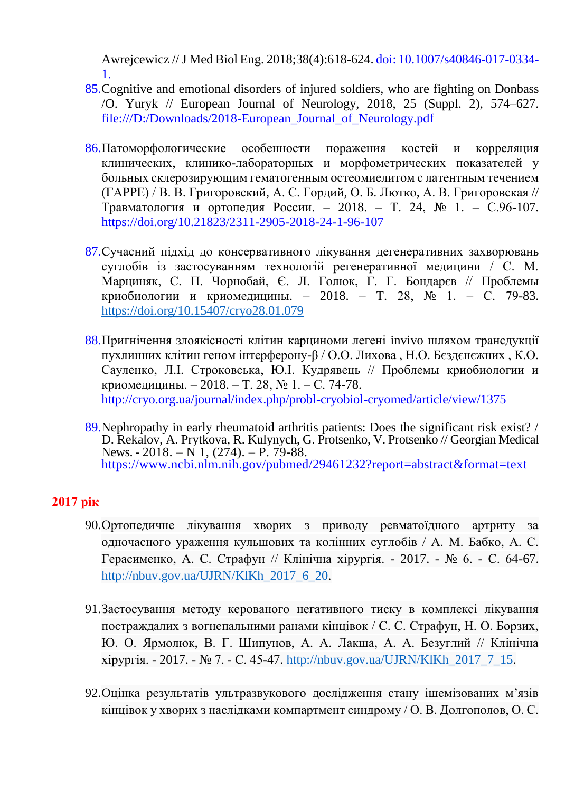Awrejcewicz //J Med Biol Eng. 2018;38(4):618-624. doi: 10.1007/s40846-017-0334- 1.

- 85.Cognitive and emotional disorders of injured soldiers, who are fighting on Donbass /O. Yuryk // European Journal of Neurology, 2018, 25 (Suppl. 2), 574–627. [file:///D:/Downloads/2018-European\\_Journal\\_of\\_Neurology.pdf](file:///D:/Downloads/2018-European_Journal_of_Neurology.pdf)
- 86.Патоморфологические особенности поражения костей и корреляция клинических, клинико-лабораторных и морфометрических показателей у больных склерозирующим гематогенным остеомиелитом с латентным течением (ГАРРЕ) / [В. В. Григоровский,](https://journal.rniito.org/index.php/jour/search?authors=%D0%92.%20AND%20%D0%92.%20AND%20%D0%93%D1%80%D0%B8%D0%B3%D0%BE%D1%80%D0%BE%D0%B2%D1%81%D0%BA%D0%B8%D0%B9) [А. С. Гордий,](https://journal.rniito.org/index.php/jour/search?authors=%D0%90.%20AND%20%D0%A1.%20AND%20%D0%93%D0%BE%D1%80%D0%B4%D0%B8%D0%B9) [О. Б. Лютко,](https://journal.rniito.org/index.php/jour/search?authors=%D0%9E.%20AND%20%D0%91.%20AND%20%D0%9B%D1%8E%D1%82%D0%BA%D0%BE) [А. В. Григоровская](https://journal.rniito.org/index.php/jour/search?authors=%D0%90.%20AND%20%D0%92.%20AND%20%D0%93%D1%80%D0%B8%D0%B3%D0%BE%D1%80%D0%BE%D0%B2%D1%81%D0%BA%D0%B0%D1%8F) // Травматология и ортопедия России. – 2018. – Т. 24, № 1. – С.96-107. <https://doi.org/10.21823/2311-2905-2018-24-1-96-107>
- 87.Сучасний підхід до консервативного лікування дегенеративних захворювань суглобів із застосуванням технологій регенеративної медицини / С. М. Марциняк, С. П. [Чорнобай, Є](http://dspace.nbuv.gov.ua/browse?value=%D0%A7%D0%BE%D1%80%D0%BD%D0%BE%D0%B1%D0%B0%D0%B9,%20%D0%A1.%D0%9F.&type=author). Л. [Голюк, Г](http://dspace.nbuv.gov.ua/browse?value=%D0%93%D0%BE%D0%BB%D1%8E%D0%BA,%20%D0%84.%D0%9B.&type=author). Г. [Бондарєв](http://dspace.nbuv.gov.ua/browse?value=%D0%91%D0%BE%D0%BD%D0%B4%D0%B0%D1%80%D1%94%D0%B2,%20%D0%93.%D0%93.&type=author) // Проблемы криобиологии и криомедицины. – 2018. – Т. 28, № 1. – С. 79-83. <https://doi.org/10.15407/cryo28.01.079>
- 88.Пригнічення злоякісності клітин карциноми легені invivo шляхом трансдукції пухлинних клітин геном інтерферону-β / О.О. Лихова , Н.О. Бєздєнєжних , К.О. Сауленко, Л.І. Строковська, Ю.І. Кудрявець // Проблемы криобиологии и криомедицины. – 2018. – Т. 28, № 1. – С. 74-78. <http://cryo.org.ua/journal/index.php/probl-cryobiol-cryomed/article/view/1375>
- 89.Nephropathy in early rheumatoid arthritis patients: Does the significant risk exist? / D. Rekalov, A. Prytkova, R. Kulynych, G. Protsenko, V. Protsenko // Georgian Medical News. - 2018. – N 1,  $(274)$ . – P. 79-88. https://www.ncbi.nlm.nih.gov/pubmed/29461232?report=abstract&format=text

- 90.Ортопедичне лікування хворих з приводу ревматоїдного артриту за одночасного ураження кульшових та колінних суглобів / А. М. Бабко, А. С. Герасименко, А. С. Страфун // Клінічна хірургія. - 2017. - № 6. - С. 64-67. [http://nbuv.gov.ua/UJRN/KlKh\\_2017\\_6\\_20.](http://nbuv.gov.ua/UJRN/KlKh_2017_6_20)
- 91.Застосування методу керованого негативного тиску в комплексі лікування постраждалих з вогнепальними ранами кінцівок / С. С. Страфун, Н. О. Борзих, Ю. О. Ярмолюк, В. Г. Шипунов, А. А. Лакша, А. А. Безуглий // Клінічна хірургія. - 2017. - № 7. - С. 45-47. [http://nbuv.gov.ua/UJRN/KlKh\\_2017\\_7\\_15.](http://nbuv.gov.ua/UJRN/KlKh_2017_7_15)
- 92.Оцінка результатів ультразвукового дослідження стану ішемізованих м'язів кінцівок у хворих з наслідками компартмент синдрому / О. В. Долгополов, О. С.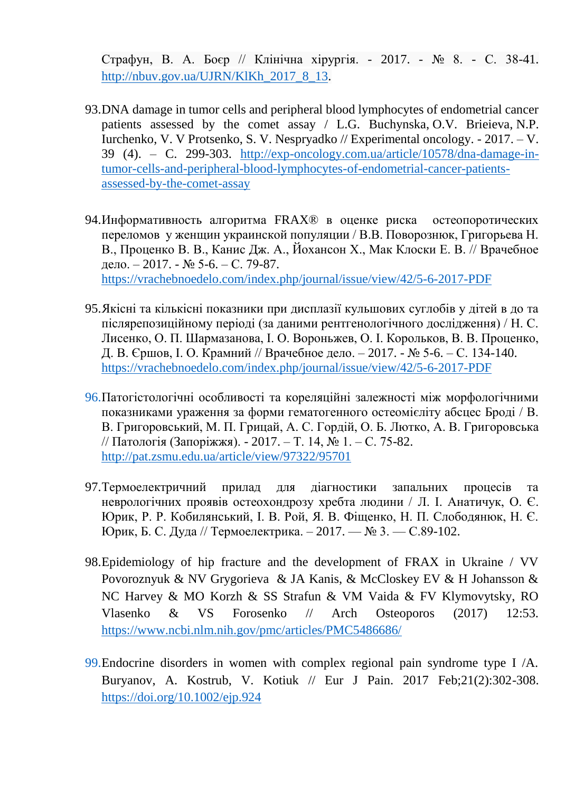Страфун, В. А. Боєр // Клінічна хірургія. - 2017. - № 8. - С. 38-41. [http://nbuv.gov.ua/UJRN/KlKh\\_2017\\_8\\_13.](http://nbuv.gov.ua/UJRN/KlKh_2017_8_13)

- 93.DNA damage in tumor cells and peripheral blood lymphocytes of endometrial cancer patients assessed by the comet assay / L.G. [Buchynska,](http://exp-oncology.com.ua/article/writer/l-g-buchinska) O.V. [Brieieva,](http://exp-oncology.com.ua/article/writer/brieieva-o-v-2) N.P. [Iurchenko,](http://exp-oncology.com.ua/article/writer/iurchenko-n-p) V. V Protsenko, S. V. [Nespryadko](http://exp-oncology.com.ua/article/writer/nespryadko-s-v) // Experimental oncology. - 2017. – V. 39 (4). – C. 299-303. [http://exp-oncology.com.ua/article/10578/dna-damage-in](http://exp-oncology.com.ua/article/10578/dna-damage-in-tumor-cells-and-peripheral-blood-lymphocytes-of-endometrial-cancer-patients-assessed-by-the-comet-assay)[tumor-cells-and-peripheral-blood-lymphocytes-of-endometrial-cancer-patients](http://exp-oncology.com.ua/article/10578/dna-damage-in-tumor-cells-and-peripheral-blood-lymphocytes-of-endometrial-cancer-patients-assessed-by-the-comet-assay)[assessed-by-the-comet-assay](http://exp-oncology.com.ua/article/10578/dna-damage-in-tumor-cells-and-peripheral-blood-lymphocytes-of-endometrial-cancer-patients-assessed-by-the-comet-assay)
- 94.Информативность алгоритма FRAX® в оценке риска остеопоротических переломов у женщин украинской популяции / В.В. Поворознюк, Григорьева Н. В., Проценко В. В., Канис Дж. А., Йохансон Х., Мак Клоски Е. В. // Врачебное дело. – 2017. - № 5-6. – С. 79-87. <https://vrachebnoedelo.com/index.php/journal/issue/view/42/5-6-2017-PDF>
- 95.Якісні та кількісні показники при дисплазії кульшових суглобів у дітей в до та післярепозиційному періоді (за даними рентгенологічного дослідження) / Н. С. Лисенко, О. П. Шармазанова, І. О. Вороньжев, О. І. Корольков, В. В. Проценко, Д. В. Єршов, І. О. Крамний // Врачебное дело. – 2017. - № 5-6. – С. 134-140. <https://vrachebnoedelo.com/index.php/journal/issue/view/42/5-6-2017-PDF>
- 96.Патогістологічні особливості та кореляційні залежності між морфологічними показниками ураження за форми гематогенного остеомієліту абсцес Броді / В. В. Григоровський, М. П. Грицай, А. С. Гордій, О. Б. Лютко, А. В. Григоровська // Патологія (Запоріжжя). - 2017. – Т. 14, № 1. – С. 75-82. <http://pat.zsmu.edu.ua/article/view/97322/95701>
- 97.Термоелектричний прилад для діагностики запальних процесів та неврологічних проявів остеохондрозу хребта людини / Л. І. Анатичук, О. Є. Юрик, Р. Р. Кобилянський, І. В. Рой, Я. В. Фіщенко, Н. П. Слободянюк, Н. Є. Юрик, Б. С. Дуда // Термоелектрика. – 2017. — № 3. — С.89-102.
- 98.Epidemiology of hip fracture and the development of FRAX in Ukraine / VV Povoroznyuk & NV Grygorieva & JA Kanis, & McCloskey EV & H Johansson & NC Harvey & MO Korzh & SS Strafun & VM Vaida & FV Klymovytsky, RO Vlasenko & VS Forosenko // Arch Osteoporos (2017) 12:53. <https://www.ncbi.nlm.nih.gov/pmc/articles/PMC5486686/>
- 99.Endocrine disorders in women with complex regional pain syndrome type I /A. Buryanov, A. Kostrub, V. Kotiuk // Eur J Pain. 2017 Feb;21(2):302-308. <https://doi.org/10.1002/ejp.924>